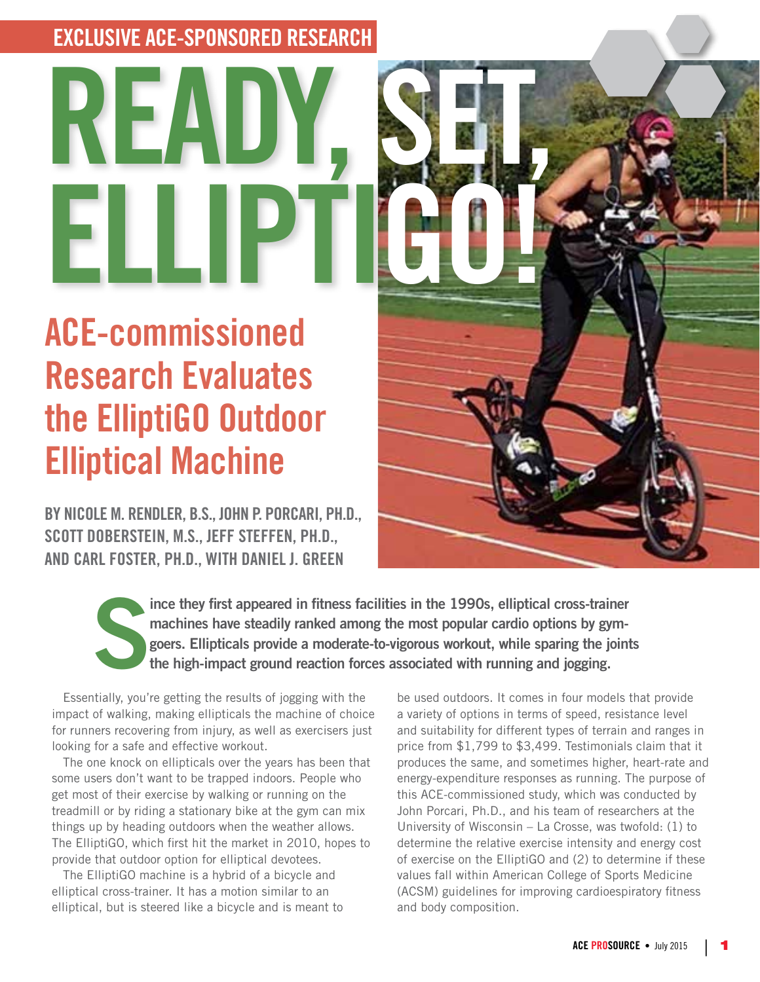## **EXCLUSIVE ACE-SPONSORED RESEARCH**

# **READY, SET, ELLIPTIGO!**

# **ACE-commissioned Research Evaluates the ElliptiGO Outdoor Elliptical Machine**

**BY NICOLE M. RENDLER, B.S., JOHN P. PORCARI, PH.D., SCOTT DOBERSTEIN, M.S., JEFF STEFFEN, PH.D., AND CARL FOSTER, PH.D., WITH DANIEL J. GREEN**



**S ince they first appeared in fitness facilities in the 1990s, elliptical cross-trainer machines have steadily ranked among the most popular cardio options by gymgoers. Ellipticals provide a moderate-to-vigorous workout, while sparing the joints the high-impact ground reaction forces associated with running and jogging.** 

Essentially, you're getting the results of jogging with the impact of walking, making ellipticals the machine of choice for runners recovering from injury, as well as exercisers just looking for a safe and effective workout.

The one knock on ellipticals over the years has been that some users don't want to be trapped indoors. People who get most of their exercise by walking or running on the treadmill or by riding a stationary bike at the gym can mix things up by heading outdoors when the weather allows. The ElliptiGO, which first hit the market in 2010, hopes to provide that outdoor option for elliptical devotees.

The ElliptiGO machine is a hybrid of a bicycle and elliptical cross-trainer. It has a motion similar to an elliptical, but is steered like a bicycle and is meant to

be used outdoors. It comes in four models that provide a variety of options in terms of speed, resistance level and suitability for different types of terrain and ranges in price from \$1,799 to \$3,499. Testimonials claim that it produces the same, and sometimes higher, heart-rate and energy-expenditure responses as running. The purpose of this ACE-commissioned study, which was conducted by John Porcari, Ph.D., and his team of researchers at the University of Wisconsin – La Crosse, was twofold: (1) to determine the relative exercise intensity and energy cost of exercise on the ElliptiGO and (2) to determine if these values fall within American College of Sports Medicine (ACSM) guidelines for improving cardioespiratory fitness and body composition.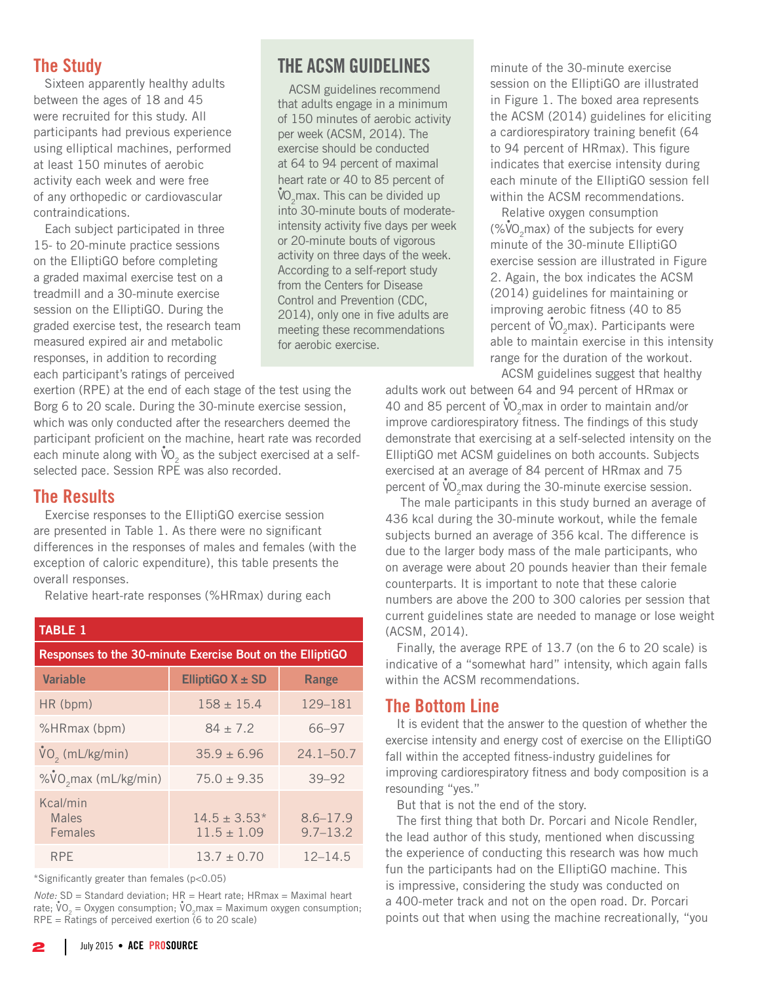#### **The Study**

Sixteen apparently healthy adults between the ages of 18 and 45 were recruited for this study. All participants had previous experience using elliptical machines, performed at least 150 minutes of aerobic activity each week and were free of any orthopedic or cardiovascular contraindications.

Each subject participated in three 15- to 20-minute practice sessions on the ElliptiGO before completing a graded maximal exercise test on a treadmill and a 30-minute exercise session on the ElliptiGO. During the graded exercise test, the research team measured expired air and metabolic responses, in addition to recording each participant's ratings of perceived

exertion (RPE) at the end of each stage of the test using the Borg 6 to 20 scale. During the 30-minute exercise session, which was only conducted after the researchers deemed the participant proficient on the machine, heart rate was recorded each minute along with  $\mathsf{\dot{V}O}_2$  as the subject exercised at a selfselected pace. Session RPE was also recorded.

#### **The Results**

Exercise responses to the ElliptiGO exercise session are presented in Table 1. As there were no significant differences in the responses of males and females (with the exception of caloric expenditure), this table presents the overall responses.

Relative heart-rate responses (%HRmax) during each

| <b>TABLE 1</b>                                            |                                     |                              |
|-----------------------------------------------------------|-------------------------------------|------------------------------|
| Responses to the 30-minute Exercise Bout on the ElliptiGO |                                     |                              |
| <b>Variable</b>                                           | ElliptiGO $X \pm SD$                | Range                        |
| HR (bpm)                                                  | $158 \pm 15.4$                      | 129-181                      |
| %HRmax (bpm)                                              | $84 \pm 7.2$                        | 66-97                        |
| VO <sub>2</sub> (mL/kg/min)                               | $35.9 \pm 6.96$                     | $24.1 - 50.7$                |
| %VO <sub>2</sub> max (mL/kg/min)                          | $75.0 \pm 9.35$                     | $39 - 92$                    |
| Kcal/min<br><b>Males</b><br>Females                       | $14.5 \pm 3.53*$<br>$11.5 \pm 1.09$ | $8.6 - 17.9$<br>$9.7 - 13.2$ |
| <b>RPE</b>                                                | $13.7 + 0.70$                       | $12 - 14.5$                  |

\*Significantly greater than females (p<0.05)

*Note: SD* = Standard deviation; HR = Heart rate; HRmax = Maximal heart rate;  $VO_2$  = Oxygen consumption;  $VO_2$  max = Maximum oxygen consumption;  $RPE = \overline{R}$ atings of perceived exertion (6 to 20 scale)

### **THE ACSM GUIDELINES**

ACSM guidelines recommend that adults engage in a minimum of 150 minutes of aerobic activity per week (ACSM, 2014). The exercise should be conducted at 64 to 94 percent of maximal heart rate or 40 to 85 percent of  $\rm \dot{V}O_{2}$ max. This can be divided up into 30-minute bouts of moderateintensity activity five days per week or 20-minute bouts of vigorous activity on three days of the week. According to a self-report study from the Centers for Disease Control and Prevention (CDC, 2014), only one in five adults are meeting these recommendations for aerobic exercise.

minute of the 30-minute exercise session on the ElliptiGO are illustrated in Figure 1. The boxed area represents the ACSM (2014) guidelines for eliciting a cardiorespiratory training benefit (64 to 94 percent of HRmax). This figure indicates that exercise intensity during each minute of the ElliptiGO session fell within the ACSM recommendations.

Relative oxygen consumption  $(\%$ VO<sub>2</sub>max) of the subjects for every minute of the 30-minute ElliptiGO exercise session are illustrated in Figure 2. Again, the box indicates the ACSM (2014) guidelines for maintaining or improving aerobic fitness (40 to 85 percent of  $\mathsf{VO}_2$ max). Participants were able to maintain exercise in this intensity range for the duration of the workout. ACSM guidelines suggest that healthy

adults work out between 64 and 94 percent of HRmax or 40 and 85 percent of  $\mathsf{vO}_{2}$ max in order to maintain and/or improve cardiorespiratory fitness. The findings of this study demonstrate that exercising at a self-selected intensity on the ElliptiGO met ACSM guidelines on both accounts. Subjects exercised at an average of 84 percent of HRmax and 75 percent of  $\sqrt[10]{\mathsf{O}_2}$ max during the 30-minute exercise session.

 The male participants in this study burned an average of 436 kcal during the 30-minute workout, while the female subjects burned an average of 356 kcal. The difference is due to the larger body mass of the male participants, who on average were about 20 pounds heavier than their female counterparts. It is important to note that these calorie numbers are above the 200 to 300 calories per session that current guidelines state are needed to manage or lose weight (ACSM, 2014).

Finally, the average RPE of 13.7 (on the 6 to 20 scale) is indicative of a "somewhat hard" intensity, which again falls within the ACSM recommendations.

#### **The Bottom Line**

It is evident that the answer to the question of whether the exercise intensity and energy cost of exercise on the ElliptiGO fall within the accepted fitness-industry guidelines for improving cardiorespiratory fitness and body composition is a resounding "yes."

But that is not the end of the story.

The first thing that both Dr. Porcari and Nicole Rendler, the lead author of this study, mentioned when discussing the experience of conducting this research was how much fun the participants had on the ElliptiGO machine. This is impressive, considering the study was conducted on a 400-meter track and not on the open road. Dr. Porcari points out that when using the machine recreationally, "you